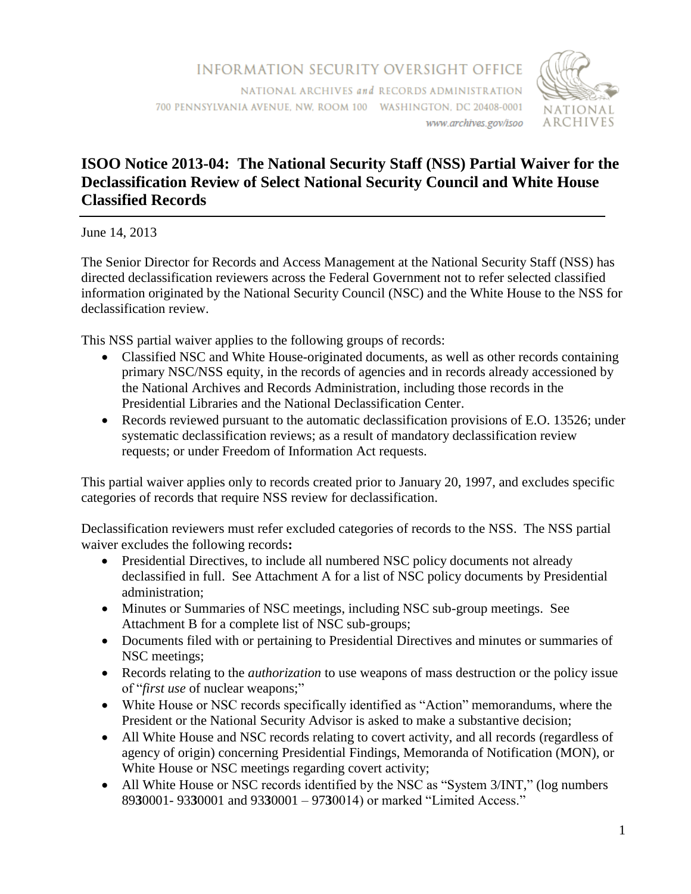

## **ISOO Notice 2013-04: The National Security Staff (NSS) Partial Waiver for the Declassification Review of Select National Security Council and White House Classified Records**

June 14, 2013

The Senior Director for Records and Access Management at the National Security Staff (NSS) has directed declassification reviewers across the Federal Government not to refer selected classified information originated by the National Security Council (NSC) and the White House to the NSS for declassification review.

This NSS partial waiver applies to the following groups of records:

- Classified NSC and White House-originated documents, as well as other records containing primary NSC/NSS equity, in the records of agencies and in records already accessioned by the National Archives and Records Administration, including those records in the Presidential Libraries and the National Declassification Center.
- Records reviewed pursuant to the automatic declassification provisions of E.O. 13526; under systematic declassification reviews; as a result of mandatory declassification review requests; or under Freedom of Information Act requests.

This partial waiver applies only to records created prior to January 20, 1997, and excludes specific categories of records that require NSS review for declassification.

Declassification reviewers must refer excluded categories of records to the NSS. The NSS partial waiver excludes the following records**:**

- Presidential Directives, to include all numbered NSC policy documents not already declassified in full. See Attachment A for a list of NSC policy documents by Presidential administration;
- Minutes or Summaries of NSC meetings, including NSC sub-group meetings. See Attachment B for a complete list of NSC sub-groups;
- Documents filed with or pertaining to Presidential Directives and minutes or summaries of NSC meetings;
- Records relating to the *authorization* to use weapons of mass destruction or the policy issue of "*first use* of nuclear weapons;"
- White House or NSC records specifically identified as "Action" memorandums, where the President or the National Security Advisor is asked to make a substantive decision;
- All White House and NSC records relating to covert activity, and all records (regardless of agency of origin) concerning Presidential Findings, Memoranda of Notification (MON), or White House or NSC meetings regarding covert activity;
- All White House or NSC records identified by the NSC as "System 3/INT," (log numbers 89**3**0001- 93**3**0001 and 93**3**0001 – 97**3**0014) or marked "Limited Access."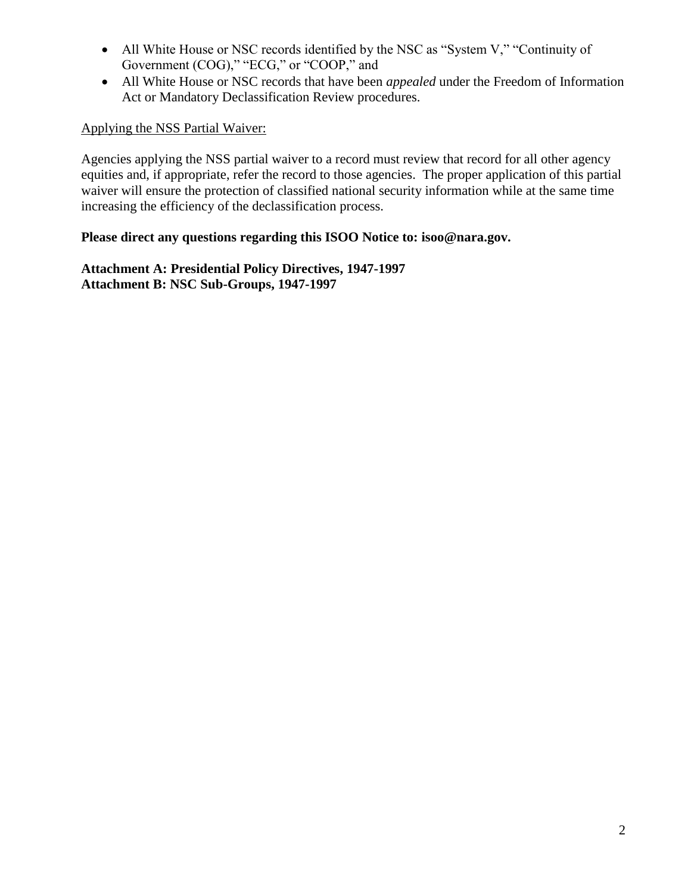- All White House or NSC records identified by the NSC as "System V," "Continuity of Government (COG)," "ECG," or "COOP," and
- All White House or NSC records that have been *appealed* under the Freedom of Information Act or Mandatory Declassification Review procedures.

## Applying the NSS Partial Waiver:

Agencies applying the NSS partial waiver to a record must review that record for all other agency equities and, if appropriate, refer the record to those agencies. The proper application of this partial waiver will ensure the protection of classified national security information while at the same time increasing the efficiency of the declassification process.

## **Please direct any questions regarding this ISOO Notice to: isoo@nara.gov.**

**Attachment A: Presidential Policy Directives, 1947-1997 Attachment B: NSC Sub-Groups, 1947-1997**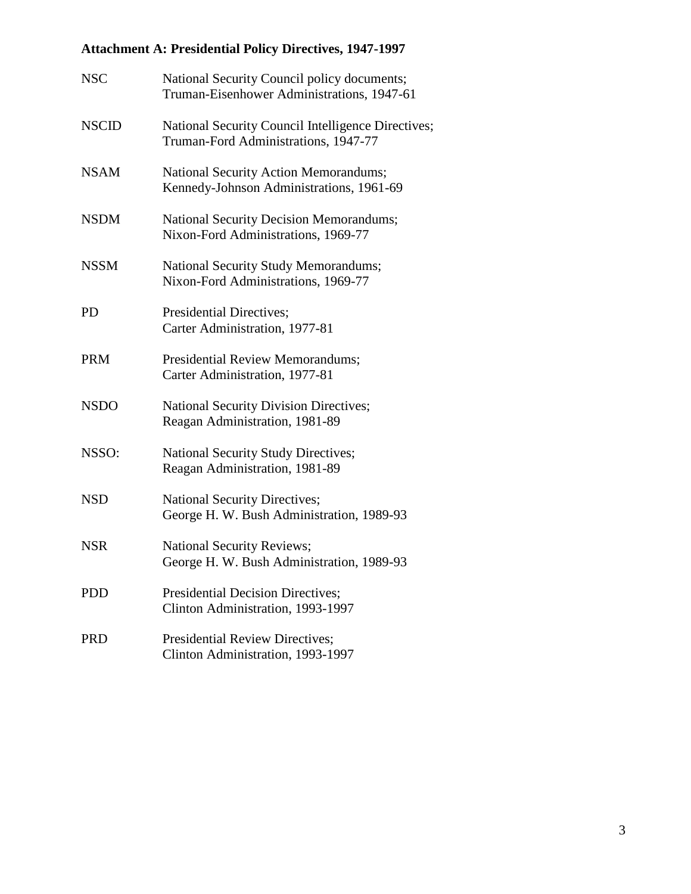# **Attachment A: Presidential Policy Directives, 1947-1997**

| <b>NSC</b>   | National Security Council policy documents;<br>Truman-Eisenhower Administrations, 1947-61  |
|--------------|--------------------------------------------------------------------------------------------|
| <b>NSCID</b> | National Security Council Intelligence Directives;<br>Truman-Ford Administrations, 1947-77 |
| <b>NSAM</b>  | National Security Action Memorandums;<br>Kennedy-Johnson Administrations, 1961-69          |
| <b>NSDM</b>  | <b>National Security Decision Memorandums;</b><br>Nixon-Ford Administrations, 1969-77      |
| <b>NSSM</b>  | National Security Study Memorandums;<br>Nixon-Ford Administrations, 1969-77                |
| <b>PD</b>    | Presidential Directives;<br>Carter Administration, 1977-81                                 |
| <b>PRM</b>   | <b>Presidential Review Memorandums;</b><br>Carter Administration, 1977-81                  |
| <b>NSDO</b>  | <b>National Security Division Directives;</b><br>Reagan Administration, 1981-89            |
| NSSO:        | <b>National Security Study Directives;</b><br>Reagan Administration, 1981-89               |
| <b>NSD</b>   | <b>National Security Directives;</b><br>George H. W. Bush Administration, 1989-93          |
| <b>NSR</b>   | <b>National Security Reviews;</b><br>George H. W. Bush Administration, 1989-93             |
| <b>PDD</b>   | <b>Presidential Decision Directives;</b><br>Clinton Administration, 1993-1997              |
| <b>PRD</b>   | <b>Presidential Review Directives;</b><br>Clinton Administration, 1993-1997                |